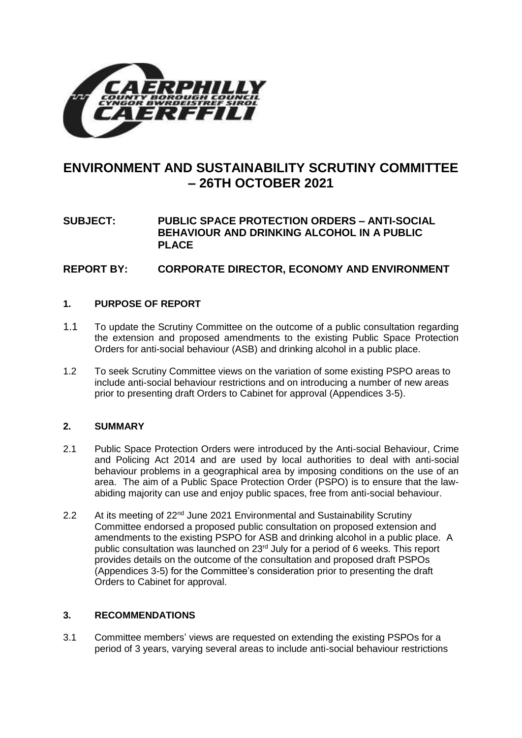

# **ENVIRONMENT AND SUSTAINABILITY SCRUTINY COMMITTEE – 26TH OCTOBER 2021**

# **SUBJECT: PUBLIC SPACE PROTECTION ORDERS – ANTI-SOCIAL BEHAVIOUR AND DRINKING ALCOHOL IN A PUBLIC PLACE**

# **REPORT BY: CORPORATE DIRECTOR, ECONOMY AND ENVIRONMENT**

## **1. PURPOSE OF REPORT**

- 1.1 To update the Scrutiny Committee on the outcome of a public consultation regarding the extension and proposed amendments to the existing Public Space Protection Orders for anti-social behaviour (ASB) and drinking alcohol in a public place.
- 1.2 To seek Scrutiny Committee views on the variation of some existing PSPO areas to include anti-social behaviour restrictions and on introducing a number of new areas prior to presenting draft Orders to Cabinet for approval (Appendices 3-5).

## **2. SUMMARY**

- 2.1 Public Space Protection Orders were introduced by the Anti-social Behaviour, Crime and Policing Act 2014 and are used by local authorities to deal with anti-social behaviour problems in a geographical area by imposing conditions on the use of an area. The aim of a Public Space Protection Order (PSPO) is to ensure that the lawabiding majority can use and enjoy public spaces, free from anti-social behaviour.
- 2.2 At its meeting of 22<sup>nd</sup> June 2021 Environmental and Sustainability Scrutiny Committee endorsed a proposed public consultation on proposed extension and amendments to the existing PSPO for ASB and drinking alcohol in a public place. A public consultation was launched on  $23<sup>rd</sup>$  July for a period of 6 weeks. This report provides details on the outcome of the consultation and proposed draft PSPOs (Appendices 3-5) for the Committee's consideration prior to presenting the draft Orders to Cabinet for approval.

## **3. RECOMMENDATIONS**

3.1 Committee members' views are requested on extending the existing PSPOs for a period of 3 years, varying several areas to include anti-social behaviour restrictions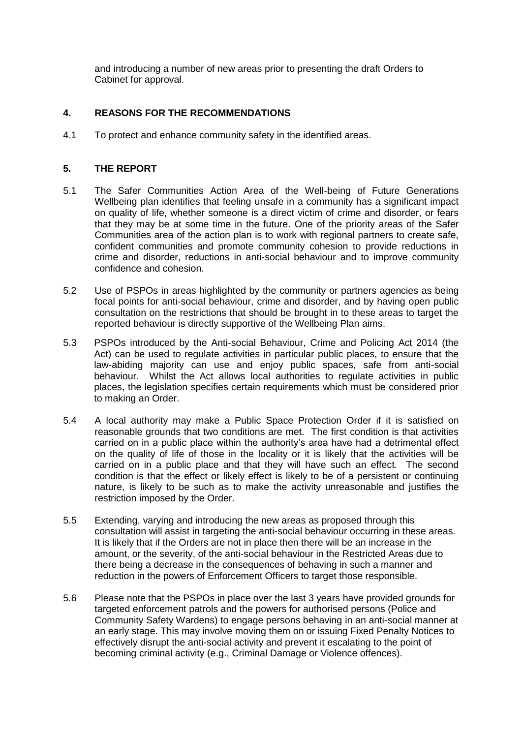and introducing a number of new areas prior to presenting the draft Orders to Cabinet for approval.

## **4. REASONS FOR THE RECOMMENDATIONS**

4.1 To protect and enhance community safety in the identified areas.

## **5. THE REPORT**

- 5.1 The Safer Communities Action Area of the Well-being of Future Generations Wellbeing plan identifies that feeling unsafe in a community has a significant impact on quality of life, whether someone is a direct victim of crime and disorder, or fears that they may be at some time in the future. One of the priority areas of the Safer Communities area of the action plan is to work with regional partners to create safe, confident communities and promote community cohesion to provide reductions in crime and disorder, reductions in anti-social behaviour and to improve community confidence and cohesion.
- 5.2 Use of PSPOs in areas highlighted by the community or partners agencies as being focal points for anti-social behaviour, crime and disorder, and by having open public consultation on the restrictions that should be brought in to these areas to target the reported behaviour is directly supportive of the Wellbeing Plan aims.
- 5.3 PSPOs introduced by the Anti-social Behaviour, Crime and Policing Act 2014 (the Act) can be used to regulate activities in particular public places, to ensure that the law-abiding majority can use and enjoy public spaces, safe from anti-social behaviour. Whilst the Act allows local authorities to regulate activities in public places, the legislation specifies certain requirements which must be considered prior to making an Order.
- 5.4 A local authority may make a Public Space Protection Order if it is satisfied on reasonable grounds that two conditions are met. The first condition is that activities carried on in a public place within the authority's area have had a detrimental effect on the quality of life of those in the locality or it is likely that the activities will be carried on in a public place and that they will have such an effect. The second condition is that the effect or likely effect is likely to be of a persistent or continuing nature, is likely to be such as to make the activity unreasonable and justifies the restriction imposed by the Order.
- 5.5 Extending, varying and introducing the new areas as proposed through this consultation will assist in targeting the anti-social behaviour occurring in these areas. It is likely that if the Orders are not in place then there will be an increase in the amount, or the severity, of the anti-social behaviour in the Restricted Areas due to there being a decrease in the consequences of behaving in such a manner and reduction in the powers of Enforcement Officers to target those responsible.
- 5.6 Please note that the PSPOs in place over the last 3 years have provided grounds for targeted enforcement patrols and the powers for authorised persons (Police and Community Safety Wardens) to engage persons behaving in an anti-social manner at an early stage. This may involve moving them on or issuing Fixed Penalty Notices to effectively disrupt the anti-social activity and prevent it escalating to the point of becoming criminal activity (e.g., Criminal Damage or Violence offences).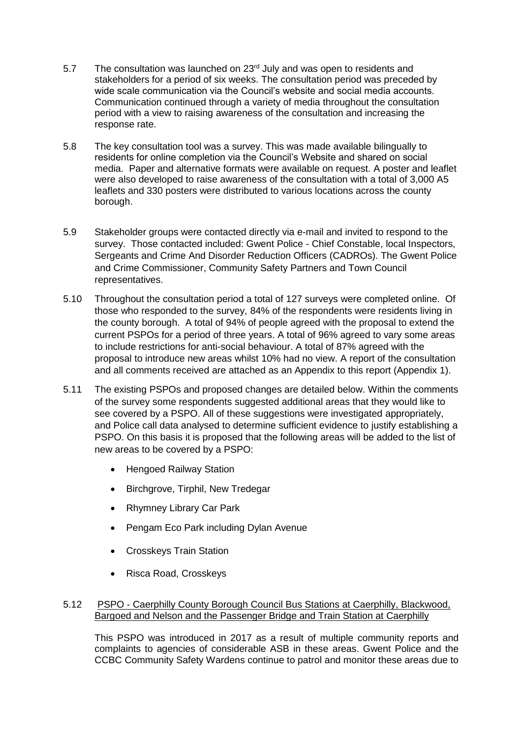- 5.7 The consultation was launched on 23<sup>rd</sup> July and was open to residents and stakeholders for a period of six weeks. The consultation period was preceded by wide scale communication via the Council's website and social media accounts. Communication continued through a variety of media throughout the consultation period with a view to raising awareness of the consultation and increasing the response rate.
- 5.8 The key consultation tool was a survey. This was made available bilingually to residents for online completion via the Council's Website and shared on social media. Paper and alternative formats were available on request. A poster and leaflet were also developed to raise awareness of the consultation with a total of 3,000 A5 leaflets and 330 posters were distributed to various locations across the county borough.
- 5.9 Stakeholder groups were contacted directly via e-mail and invited to respond to the survey. Those contacted included: Gwent Police - Chief Constable, local Inspectors, Sergeants and Crime And Disorder Reduction Officers (CADROs). The Gwent Police and Crime Commissioner, Community Safety Partners and Town Council representatives.
- 5.10 Throughout the consultation period a total of 127 surveys were completed online. Of those who responded to the survey, 84% of the respondents were residents living in the county borough. A total of 94% of people agreed with the proposal to extend the current PSPOs for a period of three years. A total of 96% agreed to vary some areas to include restrictions for anti-social behaviour. A total of 87% agreed with the proposal to introduce new areas whilst 10% had no view. A report of the consultation and all comments received are attached as an Appendix to this report (Appendix 1).
- 5.11 The existing PSPOs and proposed changes are detailed below. Within the comments of the survey some respondents suggested additional areas that they would like to see covered by a PSPO. All of these suggestions were investigated appropriately, and Police call data analysed to determine sufficient evidence to justify establishing a PSPO. On this basis it is proposed that the following areas will be added to the list of new areas to be covered by a PSPO:
	- Hengoed Railway Station
	- Birchgrove, Tirphil, New Tredegar
	- Rhymney Library Car Park
	- Pengam Eco Park including Dylan Avenue
	- Crosskeys Train Station
	- Risca Road, Crosskeys

## 5.12 PSPO - Caerphilly County Borough Council Bus Stations at Caerphilly, Blackwood, Bargoed and Nelson and the Passenger Bridge and Train Station at Caerphilly

This PSPO was introduced in 2017 as a result of multiple community reports and complaints to agencies of considerable ASB in these areas. Gwent Police and the CCBC Community Safety Wardens continue to patrol and monitor these areas due to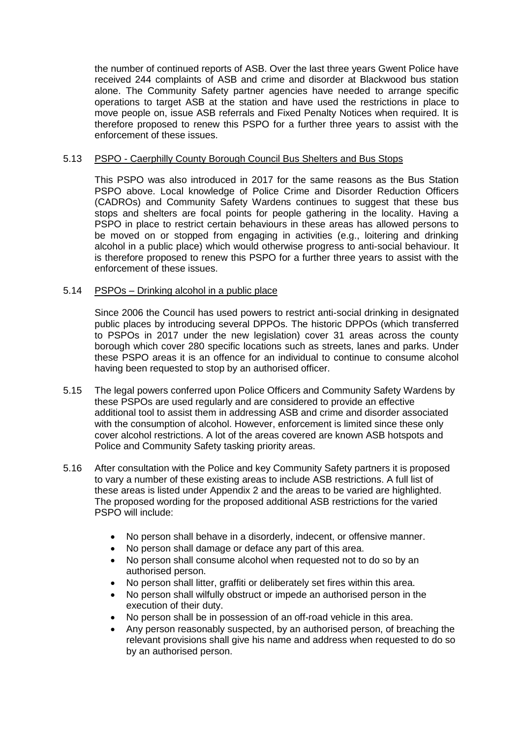the number of continued reports of ASB. Over the last three years Gwent Police have received 244 complaints of ASB and crime and disorder at Blackwood bus station alone. The Community Safety partner agencies have needed to arrange specific operations to target ASB at the station and have used the restrictions in place to move people on, issue ASB referrals and Fixed Penalty Notices when required. It is therefore proposed to renew this PSPO for a further three years to assist with the enforcement of these issues.

### 5.13 PSPO - Caerphilly County Borough Council Bus Shelters and Bus Stops

This PSPO was also introduced in 2017 for the same reasons as the Bus Station PSPO above. Local knowledge of Police Crime and Disorder Reduction Officers (CADROs) and Community Safety Wardens continues to suggest that these bus stops and shelters are focal points for people gathering in the locality. Having a PSPO in place to restrict certain behaviours in these areas has allowed persons to be moved on or stopped from engaging in activities (e.g., loitering and drinking alcohol in a public place) which would otherwise progress to anti-social behaviour. It is therefore proposed to renew this PSPO for a further three years to assist with the enforcement of these issues.

#### 5.14 PSPOs – Drinking alcohol in a public place

Since 2006 the Council has used powers to restrict anti-social drinking in designated public places by introducing several DPPOs. The historic DPPOs (which transferred to PSPOs in 2017 under the new legislation) cover 31 areas across the county borough which cover 280 specific locations such as streets, lanes and parks. Under these PSPO areas it is an offence for an individual to continue to consume alcohol having been requested to stop by an authorised officer.

- 5.15 The legal powers conferred upon Police Officers and Community Safety Wardens by these PSPOs are used regularly and are considered to provide an effective additional tool to assist them in addressing ASB and crime and disorder associated with the consumption of alcohol. However, enforcement is limited since these only cover alcohol restrictions. A lot of the areas covered are known ASB hotspots and Police and Community Safety tasking priority areas.
- 5.16 After consultation with the Police and key Community Safety partners it is proposed to vary a number of these existing areas to include ASB restrictions. A full list of these areas is listed under Appendix 2 and the areas to be varied are highlighted. The proposed wording for the proposed additional ASB restrictions for the varied PSPO will include:
	- No person shall behave in a disorderly, indecent, or offensive manner.
	- No person shall damage or deface any part of this area.
	- No person shall consume alcohol when requested not to do so by an authorised person.
	- No person shall litter, graffiti or deliberately set fires within this area.
	- No person shall wilfully obstruct or impede an authorised person in the execution of their duty.
	- No person shall be in possession of an off-road vehicle in this area.
	- Any person reasonably suspected, by an authorised person, of breaching the relevant provisions shall give his name and address when requested to do so by an authorised person.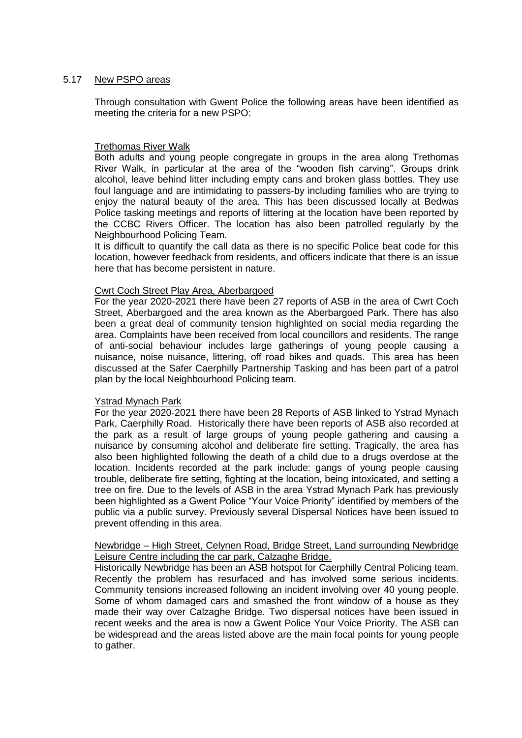#### 5.17 New PSPO areas

Through consultation with Gwent Police the following areas have been identified as meeting the criteria for a new PSPO:

#### Trethomas River Walk

Both adults and young people congregate in groups in the area along Trethomas River Walk, in particular at the area of the "wooden fish carving". Groups drink alcohol, leave behind litter including empty cans and broken glass bottles. They use foul language and are intimidating to passers-by including families who are trying to enjoy the natural beauty of the area. This has been discussed locally at Bedwas Police tasking meetings and reports of littering at the location have been reported by the CCBC Rivers Officer. The location has also been patrolled regularly by the Neighbourhood Policing Team.

It is difficult to quantify the call data as there is no specific Police beat code for this location, however feedback from residents, and officers indicate that there is an issue here that has become persistent in nature.

### Cwrt Coch Street Play Area, Aberbargoed

For the year 2020-2021 there have been 27 reports of ASB in the area of Cwrt Coch Street, Aberbargoed and the area known as the Aberbargoed Park. There has also been a great deal of community tension highlighted on social media regarding the area. Complaints have been received from local councillors and residents. The range of anti-social behaviour includes large gatherings of young people causing a nuisance, noise nuisance, littering, off road bikes and quads. This area has been discussed at the Safer Caerphilly Partnership Tasking and has been part of a patrol plan by the local Neighbourhood Policing team.

#### Ystrad Mynach Park

For the year 2020-2021 there have been 28 Reports of ASB linked to Ystrad Mynach Park, Caerphilly Road. Historically there have been reports of ASB also recorded at the park as a result of large groups of young people gathering and causing a nuisance by consuming alcohol and deliberate fire setting. Tragically, the area has also been highlighted following the death of a child due to a drugs overdose at the location. Incidents recorded at the park include: gangs of young people causing trouble, deliberate fire setting, fighting at the location, being intoxicated, and setting a tree on fire. Due to the levels of ASB in the area Ystrad Mynach Park has previously been highlighted as a Gwent Police "Your Voice Priority" identified by members of the public via a public survey. Previously several Dispersal Notices have been issued to prevent offending in this area.

## Newbridge – High Street, Celynen Road, Bridge Street, Land surrounding Newbridge Leisure Centre including the car park, Calzaghe Bridge.

Historically Newbridge has been an ASB hotspot for Caerphilly Central Policing team. Recently the problem has resurfaced and has involved some serious incidents. Community tensions increased following an incident involving over 40 young people. Some of whom damaged cars and smashed the front window of a house as they made their way over Calzaghe Bridge. Two dispersal notices have been issued in recent weeks and the area is now a Gwent Police Your Voice Priority. The ASB can be widespread and the areas listed above are the main focal points for young people to gather.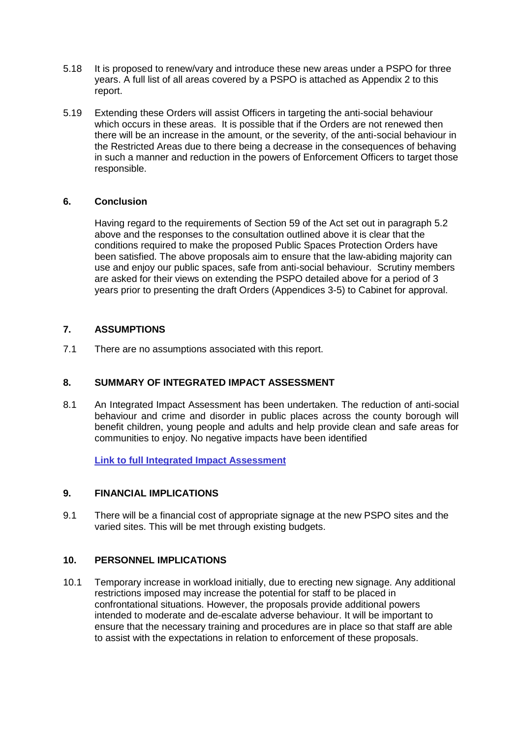- 5.18 It is proposed to renew/vary and introduce these new areas under a PSPO for three years. A full list of all areas covered by a PSPO is attached as Appendix 2 to this report.
- 5.19 Extending these Orders will assist Officers in targeting the anti-social behaviour which occurs in these areas. It is possible that if the Orders are not renewed then there will be an increase in the amount, or the severity, of the anti-social behaviour in the Restricted Areas due to there being a decrease in the consequences of behaving in such a manner and reduction in the powers of Enforcement Officers to target those responsible.

## **6. Conclusion**

Having regard to the requirements of Section 59 of the Act set out in paragraph 5.2 above and the responses to the consultation outlined above it is clear that the conditions required to make the proposed Public Spaces Protection Orders have been satisfied. The above proposals aim to ensure that the law-abiding majority can use and enjoy our public spaces, safe from anti-social behaviour. Scrutiny members are asked for their views on extending the PSPO detailed above for a period of 3 years prior to presenting the draft Orders (Appendices 3-5) to Cabinet for approval.

## **7. ASSUMPTIONS**

7.1 There are no assumptions associated with this report.

# **8. SUMMARY OF INTEGRATED IMPACT ASSESSMENT**

8.1 An Integrated Impact Assessment has been undertaken. The reduction of anti-social behaviour and crime and disorder in public places across the county borough will benefit children, young people and adults and help provide clean and safe areas for communities to enjoy. No negative impacts have been identified

**[Link to full Integrated Impact Assessment](https://www.caerphilly.gov.uk/CaerphillyDocs/IIA/iia-public-protection-community-safety)** 

## **9. FINANCIAL IMPLICATIONS**

9.1 There will be a financial cost of appropriate signage at the new PSPO sites and the varied sites. This will be met through existing budgets.

## **10. PERSONNEL IMPLICATIONS**

10.1 Temporary increase in workload initially, due to erecting new signage. Any additional restrictions imposed may increase the potential for staff to be placed in confrontational situations. However, the proposals provide additional powers intended to moderate and de-escalate adverse behaviour. It will be important to ensure that the necessary training and procedures are in place so that staff are able to assist with the expectations in relation to enforcement of these proposals.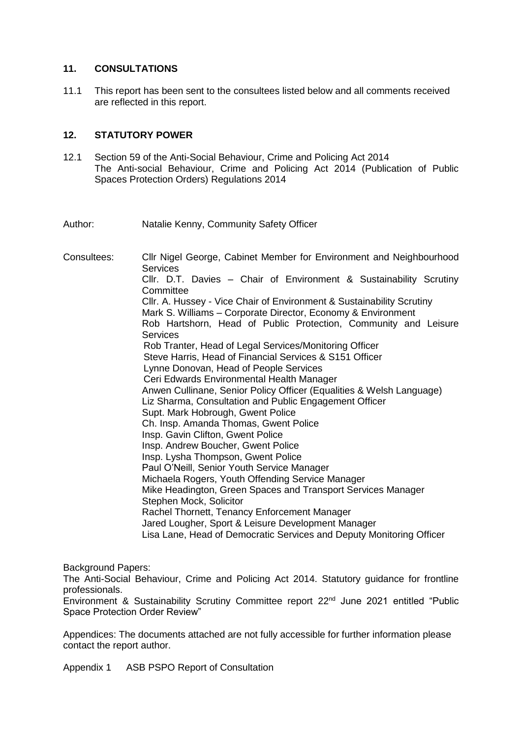## **11. CONSULTATIONS**

11.1 This report has been sent to the consultees listed below and all comments received are reflected in this report.

## **12. STATUTORY POWER**

12.1 Section 59 of the Anti-Social Behaviour, Crime and Policing Act 2014 The Anti-social Behaviour, Crime and Policing Act 2014 (Publication of Public Spaces Protection Orders) Regulations 2014

Author: Natalie Kenny, Community Safety Officer

Consultees: Cllr Nigel George, Cabinet Member for Environment and Neighbourhood **Services** Cllr. D.T. Davies – Chair of Environment & Sustainability Scrutiny **Committee** Cllr. A. Hussey - Vice Chair of Environment & Sustainability Scrutiny Mark S. Williams – Corporate Director, Economy & Environment Rob Hartshorn, Head of Public Protection, Community and Leisure **Services**  Rob Tranter, Head of Legal Services/Monitoring Officer Steve Harris, Head of Financial Services & S151 Officer Lynne Donovan, Head of People Services Ceri Edwards Environmental Health Manager Anwen Cullinane, Senior Policy Officer (Equalities & Welsh Language) Liz Sharma, Consultation and Public Engagement Officer Supt. Mark Hobrough, Gwent Police Ch. Insp. Amanda Thomas, Gwent Police Insp. Gavin Clifton, Gwent Police Insp. Andrew Boucher, Gwent Police Insp. Lysha Thompson, Gwent Police Paul O'Neill, Senior Youth Service Manager Michaela Rogers, Youth Offending Service Manager Mike Headington, Green Spaces and Transport Services Manager Stephen Mock, Solicitor Rachel Thornett, Tenancy Enforcement Manager Jared Lougher, Sport & Leisure Development Manager Lisa Lane, Head of Democratic Services and Deputy Monitoring Officer

Background Papers:

The Anti-Social Behaviour, Crime and Policing Act 2014. Statutory guidance for frontline professionals.

Environment & Sustainability Scrutiny Committee report 22<sup>nd</sup> June 2021 entitled "Public Space Protection Order Review"

Appendices: The documents attached are not fully accessible for further information please contact the report author.

Appendix 1 ASB PSPO Report of Consultation